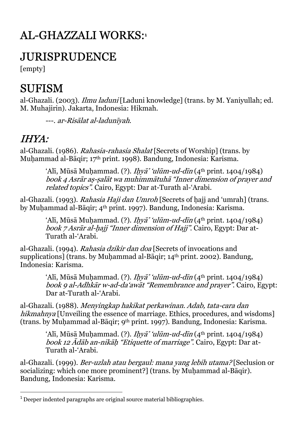# AL-GHAZZALI WORKS:**<sup>1</sup>**

#### JURISPRUDENCE

[empty]

# **SUFISM**

al-Ghazali. (2003). Ilmu laduni [Laduni knowledge] (trans. by M. Yaniyullah; ed. M. Muhajirin). Jakarta, Indonesia: Hikmah.

---. ar-Risālat al-ladunīyah.

#### IHYA:

al-Ghazali. (1986). *Rahasia-rahasia Shalat* [Secrets of Worship] (trans. by Muḥammad al-Bāqir; 17th print. 1998). Bandung, Indonesia: Karisma.

> ʻAlī, Mūsā Muḥammad. (?). *Iḥyā' ʻulūm-ud-dīn* (4<sup>th</sup> print. 1404/1984) - book 4 Asrār aṣ ṣalāt wa muhimmātuhā "Inner dimension of prayer and related topics". Cairo, Egypt: Dar at-Turath al-'Arabi.

al-Ghazali. (1993). Rahasia Haji dan Umroh [Secrets of hajj and 'umrah] (trans. by Muḥammad al-Bāqir; 4th print. 1997). Bandung, Indonesia: Karisma.

> ʻAlī, Mūsā Muḥammad. (?). *Iḥyā' ʻulūm-ud-dīn* (4<sup>th</sup> print. 1404/1984) book 7 Asrār al-hajj "Inner dimension of Hajj". Cairo, Egypt: Dar at-Turath al-'Arabi.

al-Ghazali. (1994). Rahasia dzikir dan doa [Secrets of invocations and supplications] (trans. by Muhammad al-Bāqir; 14<sup>th</sup> print. 2002). Bandung, Indonesia: Karisma.

> ʻAlī, Mūsā Muḥammad. (?). *Iḥyā' ʻulūm-ud-dīn* (4<sup>th</sup> print. 1404/1984) book 9 al-Adhkār w-ad-da'awāt "Remembrance and prayer". Cairo, Egypt: Dar at-Turath al-'Arabi.

al-Ghazali. (1988). *Menyingkap hakikat perkawinan. Adab, tata-cara dan* hikmahnya [Unveiling the essence of marriage. Ethics, procedures, and wisdoms] (trans. by Muḥammad al-Bāqir; 9th print. 1997). Bandung, Indonesia: Karisma.

ʻAlī, Mūsā Muḥammad. (?). *Iḥyā' ʻulūm-ud-dīn* (4<sup>th</sup> print. 1404/1984) book 12 Ādāb an-nikāḥ "Etiquette of marriage". Cairo, Egypt: Dar at-Turath al-'Arabi.

al-Ghazali. (1999). Ber-uzlah atau bergaul: mana yang lebih utama? [Seclusion or socializing: which one more prominent?] (trans. by Muhammad al-Bāqir). Bandung, Indonesia: Karisma.

<sup>-</sup><sup>1</sup> Deeper indented paragraphs are original source material bibliographies.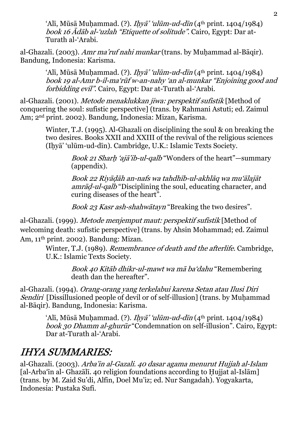ʻAlī, Mūsā Muḥammad. (?). *Iḥyā' ʻulūm-ud-dīn* (4<sup>th</sup> print. 1404/1984) book 16 Ādāb al-'uzlah "Etiquette of solitude". Cairo, Egypt: Dar at-Turath al-'Arabi.

al-Ghazali. (2003). Amr ma'ruf nahi munkar (trans. by Muhammad al-Bāqir). Bandung, Indonesia: Karisma.

> ʻAlī, Mūsā Muḥammad. (?). *Iḥyā' ʻulūm-ud-dīn* (4<sup>th</sup> print. 1404/1984) book 19 al-Amr b-il-maʻrūf w-an-nahy ʻan al-munkar "Enjoining good and forbidding evil". Cairo, Egypt: Dar at-Turath al-'Arabi.

al-Ghazali. (2001). Metode menaklukkan jiwa: perspektif sufistik [Method of conquering the soul: sufistic perspective] (trans. by Rahmani Astuti; ed. Zaimul Am; 2nd print. 2002). Bandung, Indonesia: Mizan, Karisma.

> Winter, T.J. (1995). Al-Ghazali on disciplining the soul & on breaking the two desires. Books XXII and XXIII of the revival of the religious sciences (Iḥyā' 'ulūm-ud-dīn). Cambridge, U.K.: Islamic Texts Society.

> > Book 21 Sharh 'ajā'ib-ul-qalb "Wonders of the heart"—summary (appendix).

Book 22 Riyāḍāh an-nafs wa tahdhīb-ul-akhlāq wa mu'ālajāt amrād-ul-qalb "Disciplining the soul, educating character, and curing diseases of the heart".

Book 23 Kasr ash-shahwātayn "Breaking the two desires".

al-Ghazali. (1999). Metode menjemput maut: perspektif sufistik [Method of welcoming death: sufistic perspective] (trans. by Ahsin Mohammad; ed. Zaimul Am, 11th print. 2002). Bandung: Mizan.

> Winter, T.J. (1989). Remembrance of death and the afterlife. Cambridge, U.K.: Islamic Texts Society.

> > Book 40 Kitāb dhikr-ul-mawt wa mā ba'dahu "Remembering death dan the hereafter".

al-Ghazali. (1994). *Orang-orang yang terkelabui karena Setan atau Ilusi Diri* Sendiri [Dissillusioned people of devil or of self-illusion] (trans. by Muhammad al-Bāqir). Bandung, Indonesia: Karisma.

> ʻAlī, Mūsā Muḥammad. (?). *Iḥyā' ʻulūm-ud-dīn* (4<sup>th</sup> print. 1404/1984) book 30 Dhamm al-ghurūr "Condemnation on self-illusion". Cairo, Egypt: Dar at-Turath al-'Arabi.

#### IHYA SUMMARIES:

al-Ghazali. (2003). Arba'in al-Gazali. 40 dasar agama menurut Hujjah al-Islam [al-Arba'īn al- Ghazālī. 40 religion foundations according to Ḥujjat al-Islām] (trans. by M. Zaid Su'di, Alfin, Doel Mu'iz; ed. Nur Sangadah). Yogyakarta, Indonesia: Pustaka Sufi.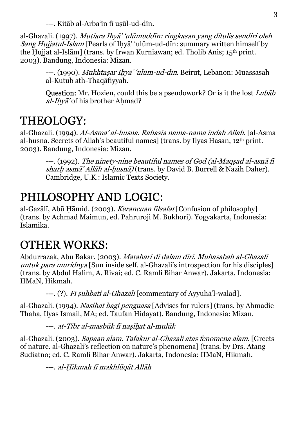---. Kitāb al-Arba'īn fī uṣūl-ud-dīn.

al-Ghazali. (1997). *Mutiara Ihyā' 'ulūmuddīn: ringkasan yang ditulis sendiri oleh* Sang Hujjatul-Islam [Pearls of Ihyā' 'ulūm-ud-dīn: summary written himself by the Ḥujjat al-Islām] (trans. by Irwan Kurniawan; ed. Tholib Anis; 15th print. 2003). Bandung, Indonesia: Mizan.

> ---. (1990). *Mukhtaṣar Iḥyā' 'ulūm-ud-dīn*. Beirut, Lebanon: Muassasah al-Kutub ath-Thaqāfiyyah.

**Question:** Mr. Hozien, could this be a pseudowork? Or is it the lost *Lubab*  $al$ -*Ihvā*' of his brother Ahmad?

### THEOLOGY:

al-Ghazali. (1994). Al-Asma' al-husna. Rahasia nama-nama indah Allah. [al-Asma al-husna. Secrets of Allah's beautiful names] (trans. by Ilyas Hasan, 12th print. 2003). Bandung, Indonesia: Mizan.

---. (1992). The ninety-nine beautiful names of God (al-Maqṣad al-asnā f<sup>ī</sup> sharh asmā' Allāh al-husnā) (trans. by David B. Burrell & Nazih Daher). Cambridge, U.K.: Islamic Texts Society.

# PHILOSOPHY AND LOGIC:

al-Gazālī, Abū Ḥāmid. (2003). Kerancuan filsafat [Confusion of philosophy] (trans. by Achmad Maimun, ed. Pahruroji M. Bukhori). Yogyakarta, Indonesia: Islamika.

# OTHER WORKS:

Abdurrazak, Abu Bakar. (2003). Matahari di dalam diri. Muhasabah al-Ghazali untuk para muridnya [Sun inside self. al-Ghazali's introspection for his disciples] (trans. by Abdul Halim, A. Rivai; ed. C. Ramli Bihar Anwar). Jakarta, Indonesia: IIMaN, Hikmah.

---. (?). *Fī suhbati al-Ghazālī* [commentary of Ayyuhā'l-walad].

al-Ghazali. (1994). Nasihat bagi penguasa [Advises for rulers] (trans. by Ahmadie Thaha, Ilyas Ismail, MA; ed. Taufan Hidayat). Bandung, Indonesia: Mizan.

---. at-Tibr al-masbūk fī naṣīḥat al-mulūk

al-Ghazali. (2003). Sapaan alam. Tafakur al-Ghazali atas fenomena alam. [Greets of nature. al-Ghazali's reflection on nature's phenomena] (trans. by Drs. Atang Sudiatno; ed. C. Ramli Bihar Anwar). Jakarta, Indonesia: IIMaN, Hikmah.

---. al-Ḥikmah fī makhlūqāt Allāh